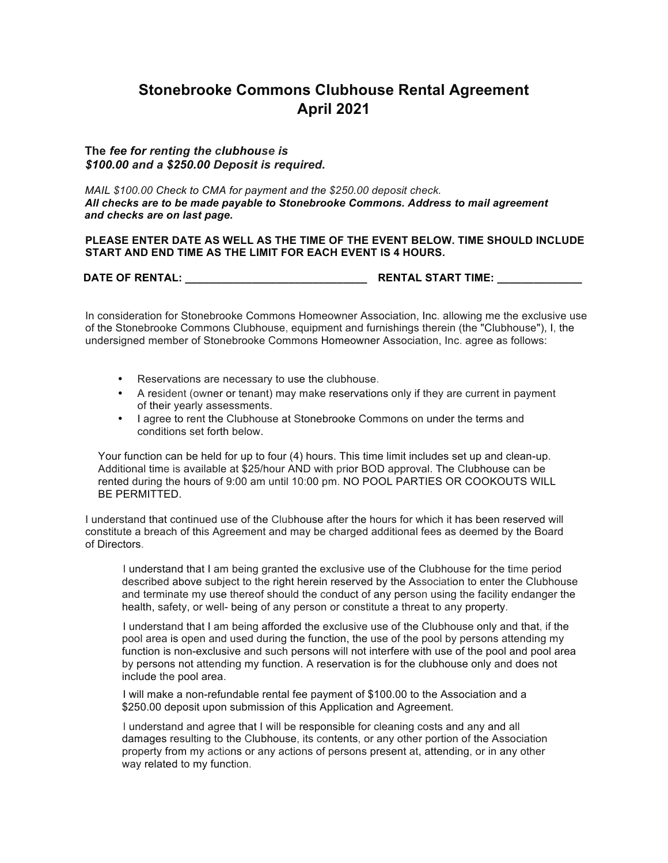# **Stonebrooke Commons Clubhouse Rental Agreement April 2021**

### **The** *fee for renting the clubhouse is \$100.00 and a \$250.00 Deposit is required.*

*MAIL \$100.00 Check to CMA for payment and the \$250.00 deposit check. All checks are to be made payable to Stonebrooke Commons. Address to mail agreement and checks are on last page.*

**PLEASE ENTER DATE AS WELL AS THE TIME OF THE EVENT BELOW. TIME SHOULD INCLUDE START AND END TIME AS THE LIMIT FOR EACH EVENT IS 4 HOURS.**

**DATE OF RENTAL: \_\_\_\_\_\_\_\_\_\_\_\_\_\_\_\_\_\_\_\_\_\_\_\_\_\_\_\_\_\_ RENTAL START TIME: \_\_\_\_\_\_\_\_\_\_\_\_\_\_**

In consideration for Stonebrooke Commons Homeowner Association, Inc. allowing me the exclusive use of the Stonebrooke Commons Clubhouse, equipment and furnishings therein (the "Clubhouse"), I, the undersigned member of Stonebrooke Commons Homeowner Association, Inc. agree as follows:

- Reservations are necessary to use the clubhouse.
- A resident (owner or tenant) may make reservations only if they are current in payment of their yearly assessments.
- I agree to rent the Clubhouse at Stonebrooke Commons on under the terms and conditions set forth below.

Your function can be held for up to four (4) hours. This time limit includes set up and clean-up. Additional time is available at \$25/hour AND with prior BOD approval. The Clubhouse can be rented during the hours of 9:00 am until 10:00 pm. NO POOL PARTIES OR COOKOUTS WILL BE PERMITTED.

I understand that continued use of the Clubhouse after the hours for which it has been reserved will constitute a breach of this Agreement and may be charged additional fees as deemed by the Board of Directors.

I understand that I am being granted the exclusive use of the Clubhouse for the time period described above subject to the right herein reserved by the Association to enter the Clubhouse and terminate my use thereof should the conduct of any person using the facility endanger the health, safety, or well- being of any person or constitute a threat to any property.

I understand that I am being afforded the exclusive use of the Clubhouse only and that, if the pool area is open and used during the function, the use of the pool by persons attending my function is non-exclusive and such persons will not interfere with use of the pool and pool area by persons not attending my function. A reservation is for the clubhouse only and does not include the pool area.

I will make a non-refundable rental fee payment of \$100.00 to the Association and a \$250.00 deposit upon submission of this Application and Agreement.

I understand and agree that I will be responsible for cleaning costs and any and all damages resulting to the Clubhouse, its contents, or any other portion of the Association property from my actions or any actions of persons present at, attending, or in any other way related to my function.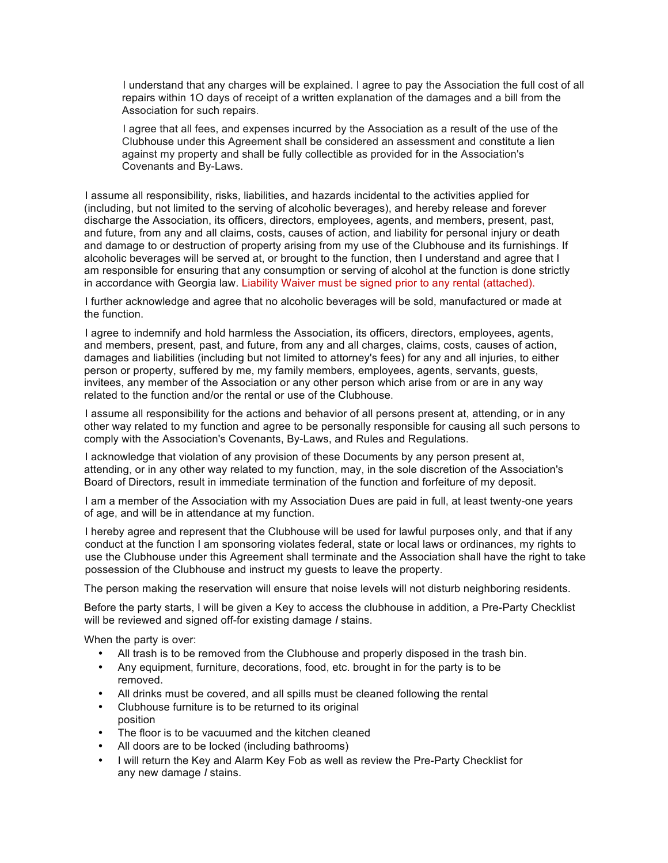I understand that any charges will be explained. I agree to pay the Association the full cost of all repairs within 1O days of receipt of a written explanation of the damages and a bill from the Association for such repairs.

I agree that all fees, and expenses incurred by the Association as a result of the use of the Clubhouse under this Agreement shall be considered an assessment and constitute a lien against my property and shall be fully collectible as provided for in the Association's Covenants and By-Laws.

I assume all responsibility, risks, liabilities, and hazards incidental to the activities applied for (including, but not limited to the serving of alcoholic beverages), and hereby release and forever discharge the Association, its officers, directors, employees, agents, and members, present, past, and future, from any and all claims, costs, causes of action, and liability for personal injury or death and damage to or destruction of property arising from my use of the Clubhouse and its furnishings. If alcoholic beverages will be served at, or brought to the function, then I understand and agree that I am responsible for ensuring that any consumption or serving of alcohol at the function is done strictly in accordance with Georgia law. Liability Waiver must be signed prior to any rental (attached).

I further acknowledge and agree that no alcoholic beverages will be sold, manufactured or made at the function.

I agree to indemnify and hold harmless the Association, its officers, directors, employees, agents, and members, present, past, and future, from any and all charges, claims, costs, causes of action, damages and liabilities (including but not limited to attorney's fees) for any and all injuries, to either person or property, suffered by me, my family members, employees, agents, servants, guests, invitees, any member of the Association or any other person which arise from or are in any way related to the function and/or the rental or use of the Clubhouse.

I assume all responsibility for the actions and behavior of all persons present at, attending, or in any other way related to my function and agree to be personally responsible for causing all such persons to comply with the Association's Covenants, By-Laws, and Rules and Regulations.

I acknowledge that violation of any provision of these Documents by any person present at, attending, or in any other way related to my function, may, in the sole discretion of the Association's Board of Directors, result in immediate termination of the function and forfeiture of my deposit.

I am a member of the Association with my Association Dues are paid in full, at least twenty-one years of age, and will be in attendance at my function.

I hereby agree and represent that the Clubhouse will be used for lawful purposes only, and that if any conduct at the function I am sponsoring violates federal, state or local laws or ordinances, my rights to use the Clubhouse under this Agreement shall terminate and the Association shall have the right to take possession of the Clubhouse and instruct my guests to leave the property.

The person making the reservation will ensure that noise levels will not disturb neighboring residents.

Before the party starts, I will be given a Key to access the clubhouse in addition, a Pre-Party Checklist will be reviewed and signed off-for existing damage *I* stains.

When the party is over:

- All trash is to be removed from the Clubhouse and properly disposed in the trash bin.
- Any equipment, furniture, decorations, food, etc. brought in for the party is to be removed.
- All drinks must be covered, and all spills must be cleaned following the rental
- Clubhouse furniture is to be returned to its original position
- The floor is to be vacuumed and the kitchen cleaned
- All doors are to be locked (including bathrooms)
- I will return the Key and Alarm Key Fob as well as review the Pre-Party Checklist for any new damage *I* stains.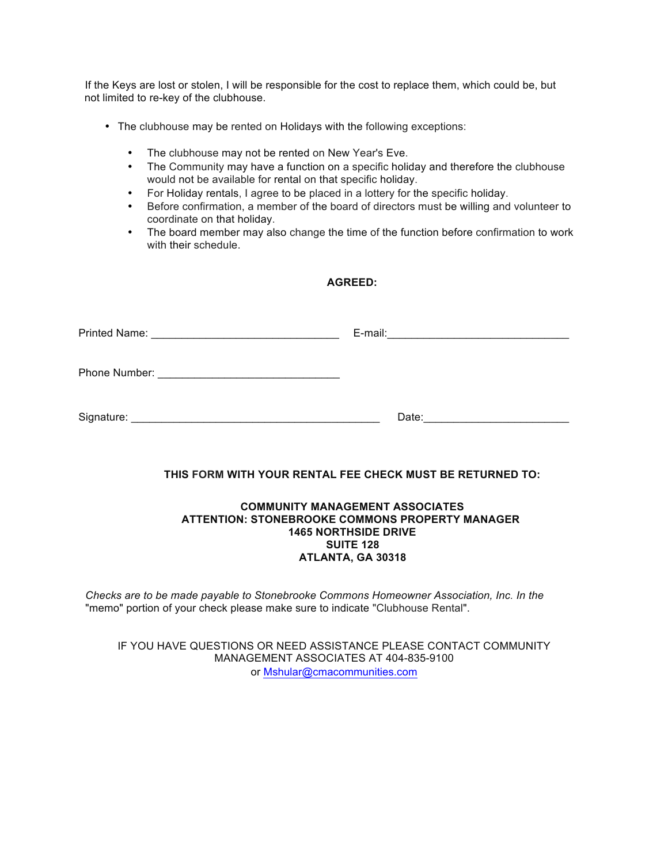If the Keys are lost or stolen, I will be responsible for the cost to replace them, which could be, but not limited to re-key of the clubhouse.

- The clubhouse may be rented on Holidays with the following exceptions:
	- The clubhouse may not be rented on New Year's Eve.
	- The Community may have a function on a specific holiday and therefore the clubhouse would not be available for rental on that specific holiday.
	- For Holiday rentals, I agree to be placed in a lottery for the specific holiday.
	- Before confirmation, a member of the board of directors must be willing and volunteer to coordinate on that holiday.
	- The board member may also change the time of the function before confirmation to work with their schedule.

## **AGREED:**

| Phone Number: |                                                                                                                                                                                                                                |
|---------------|--------------------------------------------------------------------------------------------------------------------------------------------------------------------------------------------------------------------------------|
|               | Date: the contract of the contract of the contract of the contract of the contract of the contract of the contract of the contract of the contract of the contract of the contract of the contract of the contract of the cont |

## **THIS FORM WITH YOUR RENTAL FEE CHECK MUST BE RETURNED TO:**

### **COMMUNITY MANAGEMENT ASSOCIATES ATTENTION: STONEBROOKE COMMONS PROPERTY MANAGER 1465 NORTHSIDE DRIVE SUITE 128 ATLANTA, GA 30318**

*Checks are to be made payable to Stonebrooke Commons Homeowner Association, Inc. In the*  "memo" portion of your check please make sure to indicate "Clubhouse Rental".

IF YOU HAVE QUESTIONS OR NEED ASSISTANCE PLEASE CONTACT COMMUNITY MANAGEMENT ASSOCIATES AT 404-835-9100 or Mshular@cmacommunities.com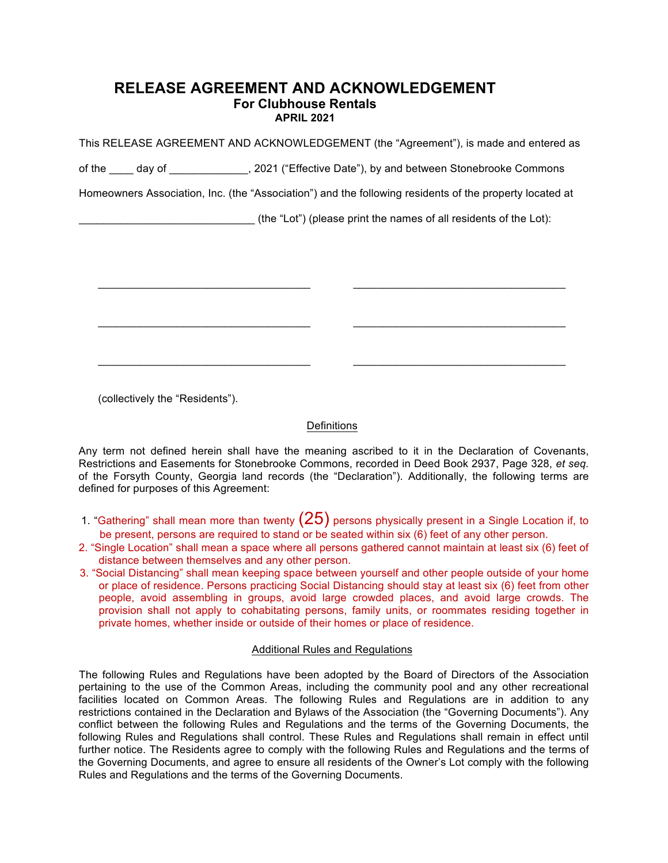# **RELEASE AGREEMENT AND ACKNOWLEDGEMENT For Clubhouse Rentals APRIL 2021**

This RELEASE AGREEMENT AND ACKNOWLEDGEMENT (the "Agreement"), is made and entered as

of the \_\_\_\_ day of \_\_\_\_\_\_\_\_\_\_\_\_, 2021 ("Effective Date"), by and between Stonebrooke Commons

Homeowners Association, Inc. (the "Association") and the following residents of the property located at

\_\_\_\_\_\_\_\_\_\_\_\_\_\_\_\_\_\_\_\_\_\_\_\_\_\_\_\_\_\_\_\_\_\_\_ \_\_\_\_\_\_\_\_\_\_\_\_\_\_\_\_\_\_\_\_\_\_\_\_\_\_\_\_\_\_\_\_\_\_\_

\_\_\_\_\_\_\_\_\_\_\_\_\_\_\_\_\_\_\_\_\_\_\_\_\_\_\_\_\_\_\_\_\_\_\_ \_\_\_\_\_\_\_\_\_\_\_\_\_\_\_\_\_\_\_\_\_\_\_\_\_\_\_\_\_\_\_\_\_\_\_

\_\_\_\_\_\_\_\_\_\_\_\_\_\_\_\_\_\_\_\_\_\_\_\_\_\_\_\_\_\_\_\_\_\_\_ \_\_\_\_\_\_\_\_\_\_\_\_\_\_\_\_\_\_\_\_\_\_\_\_\_\_\_\_\_\_\_\_\_\_\_

(the "Lot") (please print the names of all residents of the Lot):

(collectively the "Residents").

### Definitions

Any term not defined herein shall have the meaning ascribed to it in the Declaration of Covenants, Restrictions and Easements for Stonebrooke Commons, recorded in Deed Book 2937, Page 328, *et seq.*  of the Forsyth County, Georgia land records (the "Declaration"). Additionally, the following terms are defined for purposes of this Agreement:

- 1. "Gathering" shall mean more than twenty  $(25)$  persons physically present in a Single Location if, to be present, persons are required to stand or be seated within six (6) feet of any other person.
- 2. "Single Location" shall mean a space where all persons gathered cannot maintain at least six (6) feet of distance between themselves and any other person.
- 3. "Social Distancing" shall mean keeping space between yourself and other people outside of your home or place of residence. Persons practicing Social Distancing should stay at least six (6) feet from other people, avoid assembling in groups, avoid large crowded places, and avoid large crowds. The provision shall not apply to cohabitating persons, family units, or roommates residing together in private homes, whether inside or outside of their homes or place of residence.

### Additional Rules and Regulations

The following Rules and Regulations have been adopted by the Board of Directors of the Association pertaining to the use of the Common Areas, including the community pool and any other recreational facilities located on Common Areas. The following Rules and Regulations are in addition to any restrictions contained in the Declaration and Bylaws of the Association (the "Governing Documents"). Any conflict between the following Rules and Regulations and the terms of the Governing Documents, the following Rules and Regulations shall control. These Rules and Regulations shall remain in effect until further notice. The Residents agree to comply with the following Rules and Regulations and the terms of the Governing Documents, and agree to ensure all residents of the Owner's Lot comply with the following Rules and Regulations and the terms of the Governing Documents.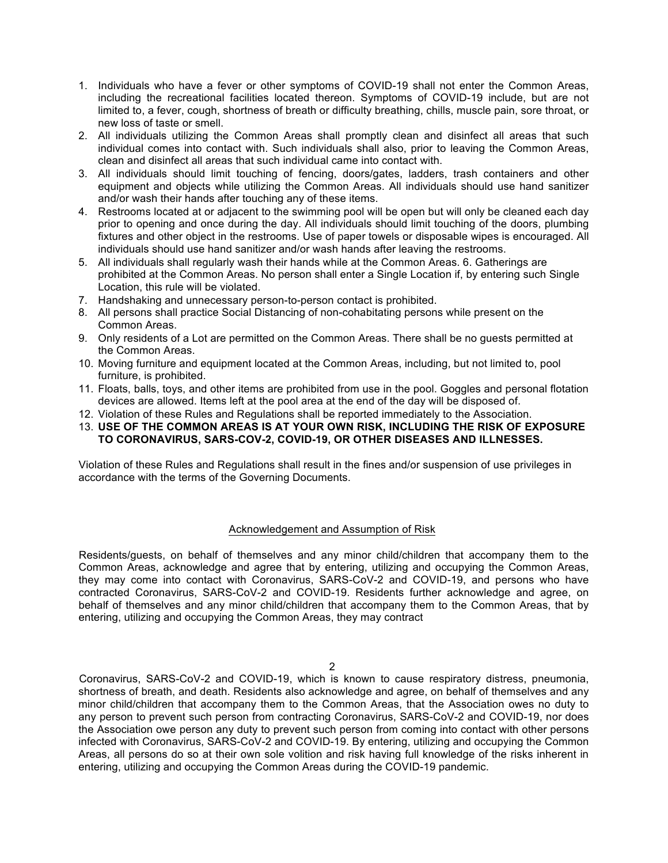- 1. Individuals who have a fever or other symptoms of COVID-19 shall not enter the Common Areas, including the recreational facilities located thereon. Symptoms of COVID-19 include, but are not limited to, a fever, cough, shortness of breath or difficulty breathing, chills, muscle pain, sore throat, or new loss of taste or smell.
- 2. All individuals utilizing the Common Areas shall promptly clean and disinfect all areas that such individual comes into contact with. Such individuals shall also, prior to leaving the Common Areas, clean and disinfect all areas that such individual came into contact with.
- 3. All individuals should limit touching of fencing, doors/gates, ladders, trash containers and other equipment and objects while utilizing the Common Areas. All individuals should use hand sanitizer and/or wash their hands after touching any of these items.
- 4. Restrooms located at or adjacent to the swimming pool will be open but will only be cleaned each day prior to opening and once during the day. All individuals should limit touching of the doors, plumbing fixtures and other object in the restrooms. Use of paper towels or disposable wipes is encouraged. All individuals should use hand sanitizer and/or wash hands after leaving the restrooms.
- 5. All individuals shall regularly wash their hands while at the Common Areas. 6. Gatherings are prohibited at the Common Areas. No person shall enter a Single Location if, by entering such Single Location, this rule will be violated.
- 7. Handshaking and unnecessary person-to-person contact is prohibited.
- 8. All persons shall practice Social Distancing of non-cohabitating persons while present on the Common Areas.
- 9. Only residents of a Lot are permitted on the Common Areas. There shall be no guests permitted at the Common Areas.
- 10. Moving furniture and equipment located at the Common Areas, including, but not limited to, pool furniture, is prohibited.
- 11. Floats, balls, toys, and other items are prohibited from use in the pool. Goggles and personal flotation devices are allowed. Items left at the pool area at the end of the day will be disposed of.
- 12. Violation of these Rules and Regulations shall be reported immediately to the Association.
- 13. **USE OF THE COMMON AREAS IS AT YOUR OWN RISK, INCLUDING THE RISK OF EXPOSURE TO CORONAVIRUS, SARS-COV-2, COVID-19, OR OTHER DISEASES AND ILLNESSES.**

Violation of these Rules and Regulations shall result in the fines and/or suspension of use privileges in accordance with the terms of the Governing Documents.

### Acknowledgement and Assumption of Risk

Residents/guests, on behalf of themselves and any minor child/children that accompany them to the Common Areas, acknowledge and agree that by entering, utilizing and occupying the Common Areas, they may come into contact with Coronavirus, SARS-CoV-2 and COVID-19, and persons who have contracted Coronavirus, SARS-CoV-2 and COVID-19. Residents further acknowledge and agree, on behalf of themselves and any minor child/children that accompany them to the Common Areas, that by entering, utilizing and occupying the Common Areas, they may contract

2

Coronavirus, SARS-CoV-2 and COVID-19, which is known to cause respiratory distress, pneumonia, shortness of breath, and death. Residents also acknowledge and agree, on behalf of themselves and any minor child/children that accompany them to the Common Areas, that the Association owes no duty to any person to prevent such person from contracting Coronavirus, SARS-CoV-2 and COVID-19, nor does the Association owe person any duty to prevent such person from coming into contact with other persons infected with Coronavirus, SARS-CoV-2 and COVID-19. By entering, utilizing and occupying the Common Areas, all persons do so at their own sole volition and risk having full knowledge of the risks inherent in entering, utilizing and occupying the Common Areas during the COVID-19 pandemic.